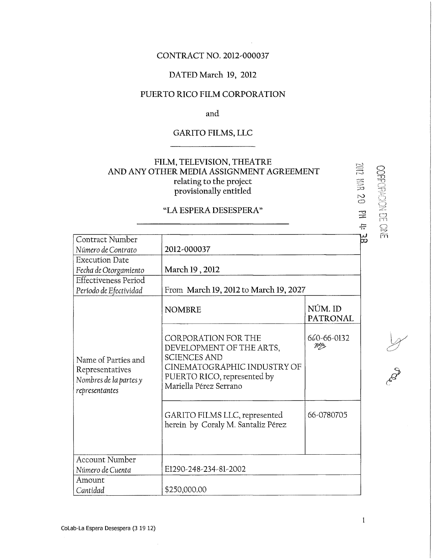# CONTRACT NO. 2012-000037

## DATED March 19, 2012

# PUERTO RICO FILM CORPORATION

and

# GARITO FILMS, LLC

# FILM, TELEVISION, THEATRE AND ANY OTHER MEDIA ASSIGNMENT AGREEMENT relating to the project provísionally entitled

# " LA ESPERA DESESPERA"

|                                                                                    | FILM, I ELEVISION, I HEATKE<br>AND ANY OTHER MEDIA ASSIGNMENT AGREEMENT<br>relating to the project<br>provisionally entitled                                          | EOL<br>er<br>Er<br>20      |
|------------------------------------------------------------------------------------|-----------------------------------------------------------------------------------------------------------------------------------------------------------------------|----------------------------|
|                                                                                    | "LA ESPERA DESESPERA"                                                                                                                                                 | 罡<br>÷                     |
| Contract Number<br>Número de Contrato<br><b>Execution Date</b>                     | 2012-000037                                                                                                                                                           | ဗ္တ                        |
| Fecha de Otorgamiento<br><b>Effectiveness Period</b><br>Período de Efectividad     | March 19, 2012<br>From March 19, 2012 to March 19, 2027                                                                                                               |                            |
| Name of Parties and<br>Representatives<br>Nombres de la partes y<br>representantes | <b>NOMBRE</b>                                                                                                                                                         | NÚM. ID<br><b>PATRONAL</b> |
|                                                                                    | <b>CORPORATION FOR THE</b><br>DEVELOPMENT OF THE ARTS,<br><b>SCIENCES AND</b><br>CINEMATOGRAPHIC INDUSTRY OF<br>PUERTO RICO, represented by<br>Mariella Pérez Serrano | 660-66-0132<br>がか          |
|                                                                                    | GARITO FILMS LLC, represented<br>herein by Coraly M. Santaliz Pérez                                                                                                   | 66-0780705                 |
| <b>Account Number</b><br>Número de Cuenta                                          | E1290-248-234-81-2002                                                                                                                                                 |                            |
| Amount<br>Cantidad                                                                 | \$250,000.00                                                                                                                                                          |                            |

**CoLab-La Espera Desespera (3 19 12)** 

 $\mathcal{A}$ 

 $\mathbf{1}$ 

CORPORACIAL CINE

**Proposed**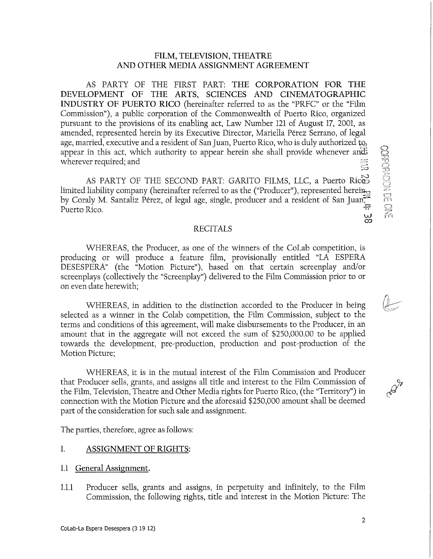#### FILM, TELEVISION, THEATRE AND OTHER MEDIA ASSIGNMENT AGREEMENT

AS PARTY OF THE FIRST PART: THE CORPORATION FOR THE DEVELOPMENT OF THE ARTS, SCIENCES AND CINEMATOGRAPHIC INDUSTRY OF PUERTO RICO (hereinafter referred to as the "PRFC" or the "Film Commission"), a public Corporation of the Commonwealth of Puerto Rico, organized pursuant to the provísions of its enabling act, Law Number 121 of August 17, 2001, as amended, represented hereín by its Executive Director, Maríella Pérez Serrano, of legal age, married, executive and a resident of San Juan, Puerto Rico, who is duly authorized to, appear in this act, which authority to appear herein she shall provide whenever and: wherever required; and For required; and<br>AS PARTY OF THE SECOND PART: GARITO FILMS, LLC, a Puerto Rice

AS PARTY OF THE SECOND PART: GARITO FILMS, LLC, a Puerto Rico<del>s</del> limited liability company (hereinafter referred to as the ("Producer"), represented herein $_{\odot}$ by Coraly M. Santaliz Pérez, of legal age, single, producer and a resident of San Juan<del>, "</del> Puerto Rico.  $\frac{w}{\infty}$ 

#### RECITALS

WHEREAS, the Producer, as one of the wínners of the CoLab competition, is producing or will produce a feature film, provisionally entitled "LA ESPERA DESESPERA" (the "Motion Picture"), based on that certaín screenplay and/or screenplays (collectively the "Screenplay") delívered to the Film Commission prior to or on even date herewíth;

WHEREAS, in addition to the distinction accorded to the Producer in being selected as a winner in the Colab competition, the Film Commission, subject to the terms and conditions of this agreement, will make disbursements to the Producer, in an amount that in the aggregate will not exceed the sum of \$250,000.00 to be applied towards the development, pre-productíon, production and post-production of the Motion Picture;

WHEREAS, it is in the mutual interest of the Film Commission and Producer that Producer sells, grants, and assigns all títle and interest to the Film Commission of the Film, Televisión, Theatre and Other Media rights for Puerto Rico, (the "Territory") in connection with the Motion Picture and the aforesaid \$250,000 amount shall be deemed part of the consideratíon for such sale and assignment.

The parties, therefore, agree as follows:

#### 1. ASSIGNMENT OF RIGHTS:

- 1.1 General Assignment.
- 1.1.1 Producer sells, grants and assigns, in perpetuity and ínfínitely, to the Film Commission, the following rights, title and interest in the Motion Picture: The

CORPORACING CHECK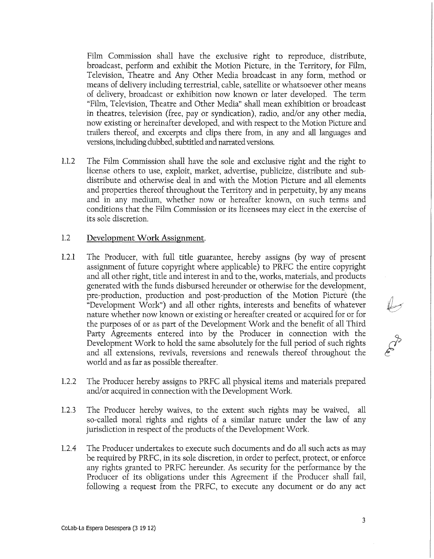Film Commission shall have the exclusive right to reproduce, distríbute, broadcast, perform and exhibít the Motion Picture, in the Territory, for Film, Televisión, Theatre and Any Other Media broadcast ín any form, method or means of delivery íncluding terrestrial, cable, satellite or whatsoever other means of delivery, broadcast or exhibitíon now known or later developed. The term "Film, Televisión, Theatre and Other Media" shall mean exhibitíon or broadcast in theatres, television (free, pay or syndication), radio, and/or any other media, now existing or hereinafter developed, and with respect to the Motion Picture and trailers thereof, and excerpts and clips there from, in any and all languages and versíons, mcluding dubbed, subtided and narrated versions.

1.1.2 The Film Commission shall have the solé and exclusive right and the right to license others to use, exploit, market, advertise, publícíze, distribute and subdistribute and otherwise deal in and with the Motion Picture and all elements and properties thereof throughout the Territory and in perpetuity, by any means and in any medium, whether now or hereafter known, on such terms and conditions that the Film Commission or its licensees may elect ín the exercise of its solé discretion.

#### 1.2 Development Work Assignment.

- 1.2.1 The Producer, with full title guarantee, hereby assigns (by way of present assignment of future copyright where applicable) to PRFC the entire copyright and all other right, title and interest in and to the, works, materials, and products generated with the funds disbursed hereunder or otherwise for the development, pre-production, production and post-production of the Motion Picturé (the "Development Work") and all other rights, interests and benefits of whatever nature whether now known or exísting or hereafter created or acquired for or for the purposes of or as part of the Development Work and the benefit of all Third Party Agreements entered into by the Producer in connection with the Development Work to hold the same absolutely for the full period of such rights and all extensions, revivals, reversions and renewals thereof throughout the world and as far as possible thereafter.
- 1.2.2 The Producer hereby assigns to PRFC all physical ítems and materials prepared and/or acquired in connection with the Development Work.
- 1.2.3 The Producer hereby waives, to the extent such rights may be waived, all so-called moral ríghts and ríghts of a similar nature under the law of any jurisdiction in respect of the products of the Development Work.
- 1.2.4 The Producer undertakes to execute such documents and do all such acts as may be required by PRFC, in its sole discretion, in order to perfect, protect, or enforce any rights granted to PRFC hereunder. As security for the performance by the Producer of its oblígations under thís Agreement if the Producer shall fail, following a request from the PRFC, to execute any document or do any act

**Prop**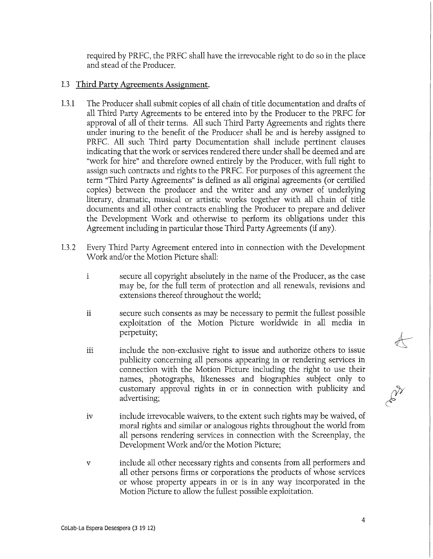required by PRFC, the PRFC shall have the irrevocable right to do so ín the place and stead of the Producer.

# 1.3 Third Party Agreements Assignment.

- 1.3.1 The Producer shall submit copies of all chain of title documentation and drafts of all Third Party Agreements to be entered into by the Producer to the PRFC for approval of all of their terms. All such Third Party Agreements and ríghts there under ínuríng to the benefit of the Producer shall be and is hereby assígned to PRFC. All such Third party Documentation shall include pertinent clauses índicating that the work or services rendered there under shall be deemed and are "work for hire" and therefore owned entirely by the Producer, with full right to assign such contracts and ríghts to the PRFC. For purposes of this agreement the term "Third Party Agreements" is defíned as all original agreements (or certified copies) between the producer and the writer and any owner of underlying literary, dramatic, musical or artistic works together with all chain of title documents and all other contracts enabling the Producer to prepare and deliver the Development Work and otherwise to perform its obligations under this Agreement íncludíng in particular those Third Party Agreements (if any).
- 1.3.2 Every Third Party Agreement entered into in connection with the Development Work and/or the Motion Picture shall:
	- i secure all copyright absolutely in the ñame of the Producer, as the case may be, for the full term of protectíon and all renewals, revisíons and extensions thereof throughout the world;
	- ii secure such consents as may be necessary to permit the fullest possible exploitation of the Motion Picture worldwide in all media in perpetuity;
	- iii include the non-exclusive right to issue and authorize others to issue publicity concerning all persons appearíng in or rendering services in connection with the Motion Picture including the right to use their names, photographs, likenesses and biographies subject only to customary approval rights in or in connection with publicity and advertísíng;
	- ív include irrevocable waívers, to the extent such rights may be waíved, of moral rights and similar or analogous rights throughout the world from all persons rendering services in connection with the Screenplay, the Development Work and/or the Motion Picture;
	- v include all other necessary ríghts and consents from all performers and all other persons firms or corporations the products of whose services or whose property appears in or is in any way incorporated in the Motion Picture to allow the fullest possible exploitation.

 $\frac{1}{2}$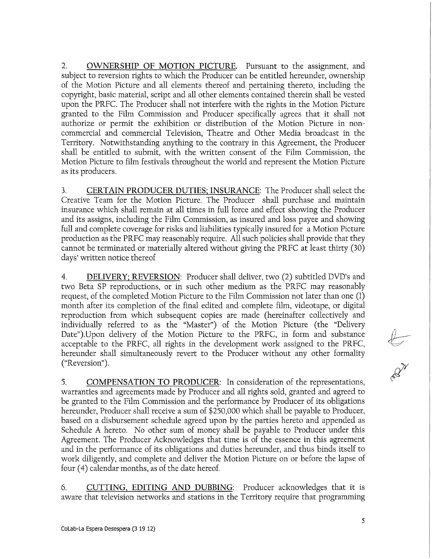2. OWNERSHIP OF MOTION PICTURE. Pursuant to the assignment, and subject to reversion rights to which the Producer can be entitled hereunder, ownership of the Motion Picture and all elements thereof and pertaíning thereto, including the copyright, basic material, script and all other elements contaíned thereín shall be vested upon the PRFC. The Producer shall not interfere with the rights in the Motion Picture granted to the Film Commission and Producer specifically agrees that it shall not authorize or permít the exhibitíon or distributíon of the Motion Picture in noncommercial and commercial Televisión, Theatre and Other Media broadcast in the Territory. Notwithstanding anything to the contrary in this Agreement, the Producer shall be entitled to submit, with the written consent of the Film Commission, the Motion Picture to film festivals throughout the world and represent the Motion Picture as its producers.

3. CERTAIN PRODUCER DUTIES; INSURANCE: The Producer shall select the Creative Team for the Motion Picture. The Producer shall purchase and maíntain insurance which shall remain at all times ín full forcé and effect showing the Producer and its assigns, including the Film Commission, as ínsured and loss payee and showing full and complete coverage for rísks and líabilities typically insured for a Motion Picture production as the PRFC may reasonably require. All such polícies shall províde that they cannot be terminated or materially altered without givíng the PRFC at least thírty (30) days' written notice thereof

4. DELIVERY; REVERSION: Producer shall deliver, two (2) subtitled DVD's and two Beta SP reproductions, or in such other medium as the PRFC may reasonably request, of the completed Motion Picture to the Film Commission not later than one (1) month after its completion of the final edited and complete film, videotape, or digital reproduction from which subsequent copies are made (hereinafter collectively and índivídually referred to as the "Master") of the Motion Picture (the "Delivery Date").Upon delivery of the Motion Picture to the PRFC, in form and substance acceptable to the PRFC, all ríghts ín the development work assígned to the PRFC, hereunder shall simultaneously revert to the Producer without any other formality ("Reversión").

5. COMPENSATION TO PRODUCER: In consíderation of the representations, warranties and agreements made by Producer and all rights sold, granted and agreed to be granted to the Film Commission and the performance by Producer of its obligations hereunder, Producer shall receive a sum of \$250,000 which shall be payable to Producer, based on a disbursement schedule agreed upon by the partíes hereto and appended as Schedule A hereto. No other sum of money shall be payable to Producer under thís Agreement. The Producer Acknowledges that time is of the essence ín this agreement and ín the performance of its obligations and duties hereunder, and thus binds ítself to work diligently, and complete and deliver the Motion Picture on or before the lapse of four (4) calendar months, as of the date hereof.

6. CUTTING, EDITING AND DUBBING: Producer acknowledges that it is aware that television networks and stations in the Territory require that programming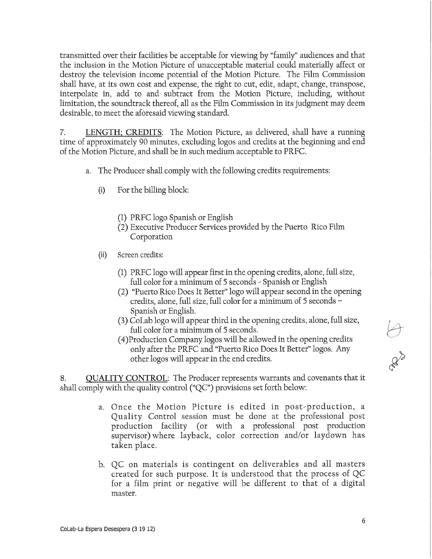transmitted over their facilities be acceptable for viewing by "famíly" audiences and that the inclusion in the Motion Picture of unacceptable material could materially affect or destroy the televisión income potential of the Motion Picture. The Film Commission shall have, at its own cost and expense, the right to cut, edit, adapt, change, transpose, interpólate in, add to and subtract from the Motion Picture, including, without limitation, the soundtrack thereof, all as the Film Commission in its judgment may deem desirable, to meet the aforesaid viewing standard.

7. LENGTH; CREDITS: The Motion Picture, as delivered, shall have a running time of approximately 90 minutes, excluding logos and credíts at the begínning and end of the Motion Picture, and shall be in such medium acceptable to PRFC.

- a. The Producer shall comply with the following credits requirements:
	- (i) For the billing block:
		- (1) PRFC logo Spanish or English
		- (2) Executive Producer Services provided by the Puerto Rico Film Corporation
	- (ii) Screen credits:
		- (1) PRFC logo will appear first ín the openíng credíts, alone, full size, full color for a mínimum of 5 seconds - Spanish or English
		- (2) "Puerto Rico Does It Better" logo will appear second in the opening credíts, alone, full size, full color for a mínimum of 5 seconds - Spanish or English.
		- (3) CoLab logo will appear third in the opening credits, alone, full size, full color for a mínimum of 5 seconds.
		- (4) Production Company logos will be allowed ín the openíng credíts only after the PRFC and "Puerto Rico Does It Better" logos. Any other logos will appear ín the end credíts.

8. QUALITY CONTROL: The Producer represents warrants and covenants that it shall comply with the quality control ("QC") provisions set forth below:

- a. Once the Motion Picture is edited in post-production, a Quality Control session must be done at the professional post production facility (or with a professional post production supervisor) where layback, color correction and/or laydown has taken place.
- b. QC on materials is contingent on deliverables and all masters created for such purpose. It is understood that the process of QC for a film print or negative will be different to that of a digital master.

6

**CLASS**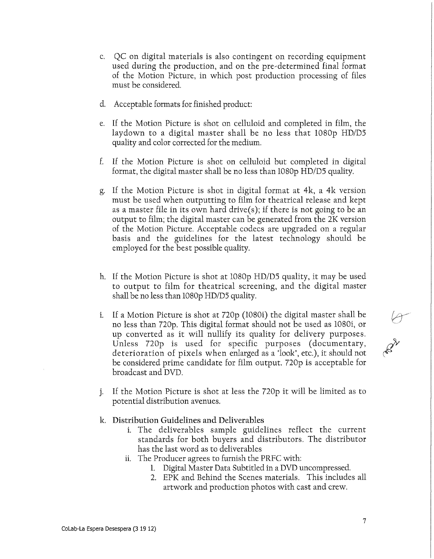- c. QC on digital materials is also contingent on recording equipment used during the production, and on the pre-determined final format of the Motion Picture, in which post production processing of files must be considered.
- d. Acceptable formats for finished product:
- e. If the Motion Picture is shot on celluloid and completed in film, the laydown to a digital master shall be no less that 1080p HD/D5 quality and color corrected for the medium.
- f. If the Motion Picture is shot on celluloid but completed in digital format, the digital master shall be no less than 1080p HD/D5 quality.
- g. If the Motion Picture is shot in digital format at 4k, a 4k version must be used when outputting to film for theatrical release and kept as a master file ín its own hard drive(s); if there is not going to be an output to film; the digital master can be generated from the 2K version of the Motion Picture. Acceptable codecs are upgraded on a regular basis and the guidelines for the latest technology should be employed for the best possible quality.
- h. If the Motion Picture is shot at 1080p HD/D5 quality, it may be used to output to film for theatrical screening, and the digital master shall be no less than 1080p HD/D5 quality.
- i. If a Motion Picture is shot at 720p (1080i) the digital master shall be no less than 720p. This digital format should not be used as 1080Í, or up converted as it will nullify its quality for delivery purposes. Unless 720p is used for specific purposes (documentary, deterioration of pixels when enlarged as a "look", etc.), it should not be considered prime candidate for film output. 720p is acceptable for broadcast and DVD.
- **PAN**
- j. If the Motion Picture is shot at less the 720p it will be limited as to potential distribution avenues.
- k. Distribution Guidelines and Deliverables
	- i. The deliverables sample guidelines reflect the current standards for both buyers and dístributors. The distributor has the last word as to deliverables
	- ii. The Producer agrees to furnish the PRFC with:
		- 1. Digital Master Data Subtitled ín a DVD uncompressed.
		- 2. EPK and Behind the Scenes materials, This includes all artwork and production photos with cast and crew.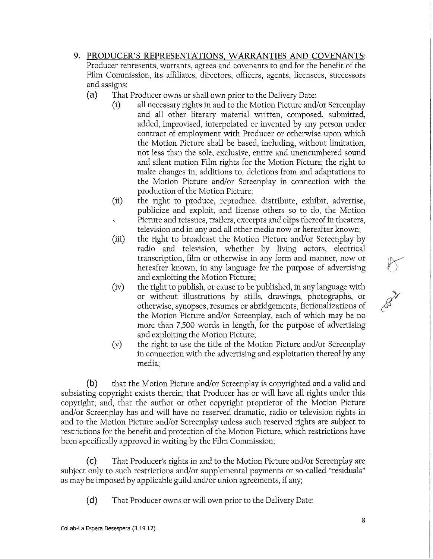- 9. PRODUCER'S REPRESENTATIONS, WARRANTIES AND COVENANTS: Producer represents, warrants, agrees and covenants to and for the benefit of the Film Commission, its affiliates, directors, officers, agents, lícensees, successors and assigns:
	- (a) That Producer owns or shall own prior to the Delivery Date:
		- $(i)$  all necessary rights in and to the Motion Picture and/or Screenplay and all other líterary material written, composed, submítted, added, improvised, interpolated or invented by any person under contract of employment with Producer or otherwise upon which the Motion Picture shall be based, including, without limítation, not less than the solé, exclusive, entire and unencumbered sound and sílent motion Film rights for the Motion Picture; the right to make changes ín, additions to, deletions from and adaptations to the Motion Picture and/or Screenplay in connection with the production of the Motion Picture;
		- (íi) the right to produce, reproduce, distribute, exhíbit, advertise, publicíze and exploit, and lícense others so to do, the Motion Picture and reíssues, traílers, excerpts and clips thereof in theaters, television and in any and all other media now or hereafter known;
		- (iíi) the right to broadcast the Motion Picture and/or Screenplay by radio and television, whether by living actors, electrical transcription, film or otherwise in any form and manner, now or hereafter known, in any language for the purpose of advertísing and exploitíng the Motion Picture;
		- (iv) the right to publish, or cause to be published, in any language with or without illustratíons by stills, drawings, photographs, or otherwise, synopses, resumes or abridgements, fictíonalízations of the Motion Picture and/or Screenplay, each of which may be no more than 7,500 words in length, for the purpose of advertising and exploitíng the Motion Picture;
		- (v) the right to use the títle of the Motion Picture and/or Screenplay in connection with the advertising and exploitation thereof by any medía;

(b) that the Motion Picture and/or Screenplay is copyríghted and a valid and subsisting copyright exists thereín; that Producer has or will have all rights under thís copyright; and, that the author or other copyright proprietor of the Motion Picture and/or Screenplay has and will have no reserved dramatic, radio or television rights in and to the Motion Picture and/or Screenplay unless such reserved rights are subject to restrictions for the benefit and protection of the Motion Picture, which restrictions have been specifically approved in writing by the Film Commission;

(c) That Producer's rights in and to the Motion Picture and/or Screenplay are subject only to such restrictions and/or supplemental payments or so-called "residuals" as may be imposed by applicable guild and/or union agreements, if any;

(d) That Producer owns or will own prior to the Delivery Date:

AN A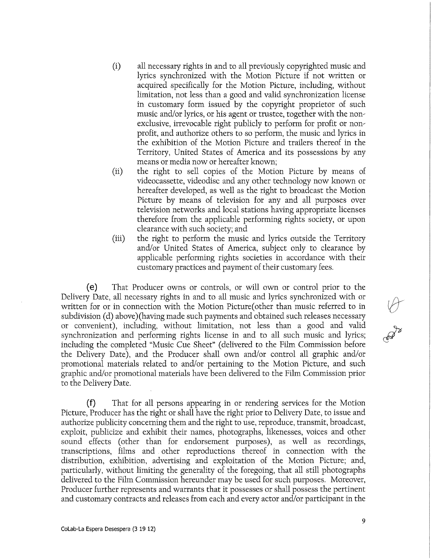- (í) all necessary ríghts ín and to all prevíously copyrighted musíc and lyrics synchronized with the Motion Picture if not written or acquired specifically for the Motion Picture, including, without limitation, not less than a good and valíd synchronization license ín customary form issued by the copyright proprietor of such music and/or lyrics, or his agent or trustee, together with the nonexclusive, irrevocable right publicly to perform for profit or nonprofít, and authorize others to so perform, the music and lyrics ín the exhibitíon of the Motion Picture and trailers thereof in the Territory, United States of America and its possessions by any means or media now or hereafter known;
- (íi) the right to sell copies of the Motion Picture by means of vídeocassette, videodisc and any other technology now known or hereafter developed, as well as the right to broadcast the Motion Picture by means of television for any and all purposes over televisión networks and local statíons havíng appropríate licenses therefore from the applicable performing ríghts society, or upon clearance with such society; and
- (ííí) the right to perform the music and lyrics outside the Territory and/or United States of America, subject only to clearance by applicable performing rights societies in accordance with their customary practíces and payment of their customary fees.

(e) That Producer owns or controls, or will own or control prior to the Delivery Date, all necessary rights in and to all music and lyrics synchronized with or written for or in connection with the Motion Picture(other than music referred to in subdivision (d) above) (having made such payments and obtained such releases necessary or convenient), including, without limitation, not less than a good and valid synchronization and performing rights license in and to all such music and lyrics; including the completed "Music Cue Sheet" (delivered to the Film Commission before the Delivery Date), and the Producer shall own and/or control all graphic and/or promotíonal materials related to and/or pertaining to the Motion Picture, and such graphic and/or promotional materials have been delivered to the Film Commission prior to the Delivery Date.

(f) That for all persons appearíng ín or rendering services for the Motion Picture, Producer has the right or shall have the right prior to Delivery Date, to íssue and authorize publicity concerníng them and the right to use, reproduce, transmít, broadcast, exploit, publícize and exhibít their ñames, photographs, líkenesses, voíces and other sound effects (other than for endorsement purposes), as well as recordings, transcriptions, films and other reproductions thereof in connection with the distribution, exhibitíon, advertísing and exploitation of the Motion Picture; and, particularly, without límiting the generality of the foregoíng, that all still photographs delivered to the Film Commission hereunder may be used for such purposes. Moreover, Producer further represents and warrants that it possesses or shall possess the pertínent and customary contracts and releases from each and every actor and/or participant ín the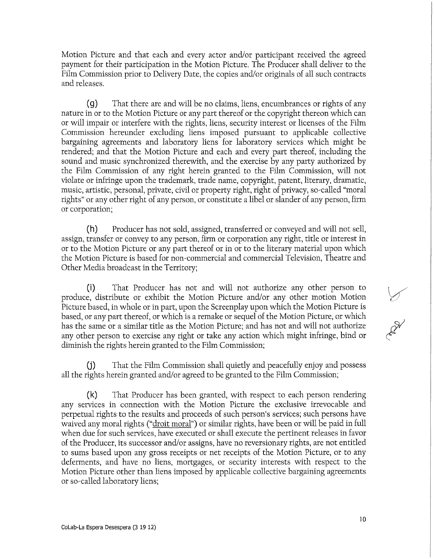Motion Picture and that each and every actor and/or participant received the agreed payment for their particípation ín the Motion Picture. The Producer shall deliver to the Film Commission prior to Delivery Date, the copies and/or originals of all such contracts and releases.

(g) That there are and will be no claims, líens, encumbrances or rights of any nature in or to the Motion Picture or any part thereof or the copyright thereon whích can or will impair or interfere with the rights, liens, security interest or licenses of the Film Commission hereunder excluding líens ímposed pursuant to applicable collective bargainíng agreements and laboratory líens for laboratory services which might be rendered; and that the Motion Picture and each and every part thereof, including the sound and music synchronized therewith, and the exercíse by any party authorized by the Film Commission of any right herein granted to the Film Commission, will not viólate or infringe upon the trademark, trade ñame, copyright, patent, literary, dramatic, music, artistic, personal, prívate, civil or property right, right of prívacy, so-called "moral rights" or any other right of any person, or constitute a libel or slander of any person, firm or Corporation;

(h) Producer has not sold, assigned, transferred or conveyed and will not sell, assign, transfer or convey to any person, firm or corporation any right, title or interest in or to the Motion Picture or any part thereof or in or to the literary material upon which the Motion Picture is based for non-commercial and commercial Televisión, Theatre and Other Media broadcast in the Territory;

(i) That Producer has not and will not authorize any other person to produce, distribute or exhibit the Motion Picture and/or any other motion Motion Picture based, in whole or in part, upon the Screenplay upon which the Motion Picture is based, or any part thereof, or whích is a remake or sequel of the Motion Picture, or which has the same or a similar title as the Motion Picture; and has not and will not authorize any other person to exercise any right or take any actíon which might infringe, bínd or diminish the rights herein granted to the Film Commission;

( j) That the Film Commission shall quíetly and peacefully enjoy and possess all the rights hereín granted and/or agreed to be granted to the Film Commission;

(k) That Producer has been granted, with respect to each person rendering any services in connection with the Motion Picture the exclusive irrevocable and perpetual rights to the results and proceeds of such person's services; such persons have waived any moral rights ("droit moral") or similar rights, have been or will be paid in full when due for such services, have executed or shall execute the pertinent releases in favor of the Producer, its successor and/or assigns, have no reversionary ríghts, are not entitled to sums based upon any gross receipts or net receipts of the Motion Picture, or to any deferments, and have no liens, mortgages, or security interests with respect to the Motion Picture other than liens ímposed by applicable collective bargaining agreements or so-called laboratory liens;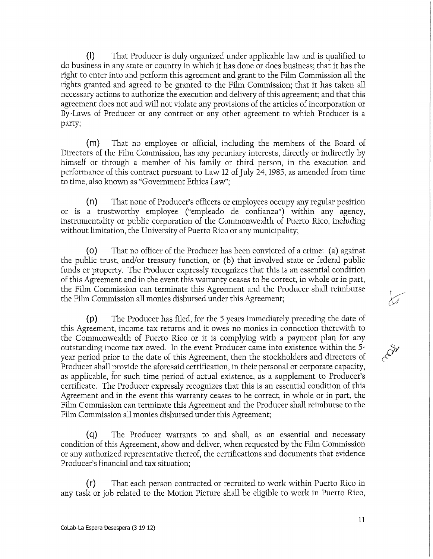(I) That Producer is duly organízed under applicable law and is qualified to do business in any state or country ín which it has done or does business; that it has the right to enter into and perform this agreement and grant to the Film Commission all the rights granted and agreed to be granted to the Film Commission; that it has taken all necessary actions to authorize the execution and delivery of this agreement; and that this agreement does not and will not viólate any provisions of the articles of íncorporatíon or By-Laws of Producer or any contract or any other agreement to which Producer is a party;

(m) That no employee or official, including the members of the Board of Directors of the Film Commission, has any pecuniary interests, directly or indirectly by himself or through a member of hís famíly or third person, ín the execution and performance of this contract pursuant to Law 12 of July 24,1985, as amended from time to time, also known as "Government Ethícs Law";

(n) That none of Producer's offícers or employees occupy any regular posítion or is a trustworthy employee ("empleado de confianza") within any agency, instrumentalíty or public Corporation of the Commonwealth of Puerto Rico, including without limitation, the University of Puerto Rico or any municipality;

(o) That no officer of the Producer has been convícted of a crime: (a) agaínst the public trust, and/or treasury functíon, or (b) that ínvolved state or federal public funds or property. The Producer expressly recognizes that this is an essentíal condition of this Agreement and in the event thís warranty ceases to be correct, in whole or ín part, the Film Commission can termínate this Agreement and the Producer shall reimburse the Film Commission all monies disbursed under this Agreement;

(p) The Producer has filed, for the 5 years immediately preceding the date of thís Agreement, income tax returns and it owes no monies in connection therewith to the Commonwealth of Puerto Rico or it is complying with a payment plan for any outstanding income tax owed. In the event Producer came into existence within the 5year period prior to the date of thís Agreement, then the stockholders and directors of Producer shall províde the aforesaid certification, in their personal or corporate capacity, as applicable, for such time period of actual existence, as a supplement to Producer's certifícate, The Producer expressly recognizes that thís is an essential condition of thís Agreement and ín the event this warranty ceases to be correct, ín whole or in part, the Film Commission can termínate thís Agreement and the Producer shall reimburse to the Film Commission all monies disbursed under this Agreement;

(q) The Producer warrants to and shall, as an essentíal and necessary condition of this Agreement, show and deliver, when requested by the Film Commission or any authorized representative thereof, the certifications and documents that evidence Producer's fínancíal and tax situation;

(r) That each person contracted or recruited to work within Puerto Rico in any task or job related to the Motion Picture shall be eligible to work in Puerto Rico,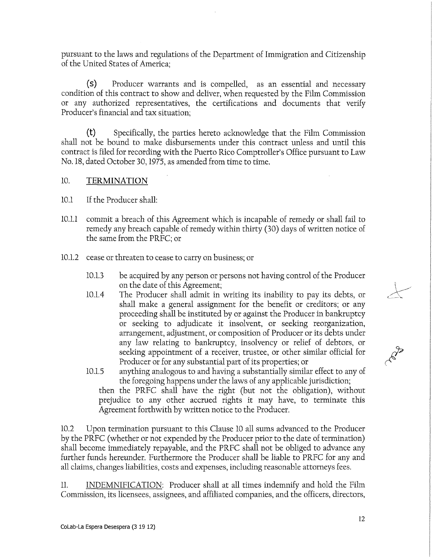pursuant to the laws and regulations of the Department of Immigratíon and Cítizenship of the United States of America;

(s) Producer warrants and is compelled, as an essential and necessary condition of this contract to show and deliver, when requested by the Film Commission or any authorízed representatíves, the certífícatíons and documents that verify Producer's financial and tax situation;

(t) Specifically, the partíes hereto acknowledge that the Film Commission shall not be bound to make disbursements under this contract unless and until this contract is filed for recording with the Puerto Rico Comptroller's Office pursuant to Law No. 18, dated October 30,1975, as amended from time to time.

# 10. TERMINATION

- 10.1 If the Producer shall:
- 10.1.1 commit a breach of this Agreement which is incapable of remedy or shall fail to remedy any breach capable of remedy within thirty (30) days of written notice of the same from the PRFC; or
- 10.1.2 cease or threaten to cease to carry on business; or
	- 10.1.3 be acquired by any person or persons not having control of the Producer on the date of this Agreement;
	- 10.1.4 The Producer shall admit in writíng its inabílity to pay its debts, or shall make a general assignment for the benefit or credítors; or any proceeding shall be instituted by or against the Producer in bankruptcy or seeking to adjudicate it ínsolvent, or seeking reorganízatíon, arrangement, adjustment, or compositíon of Producer or its debts under any law relating to bankruptcy, insolvency or relíef of debtors, or seeking appointment of a receiver, trustee, or other similar official for Producer or for any substantial part of its properties; or
	- 10.1.5 anything analogous to and havíng a substantially similar effect to any of the foregoing happens under the laws of any applicable jurísdiction; then the PRFC shall have the right (but not the obligation), without prejudíce to any other accrued ríghts it may have, to termínate thís Agreement forthwith by written notice to the Producer.

10.2 Upon termínation pursuant to this Clause 10 all sums advanced to the Producer by the PRFC (whether or not expended by the Producer prior to the date of termínation) shall become immediately repayable, and the PRFC shall not be obliged to advance any further funds hereunder. Furthermore the Producer shall be liable to PRFC for any and all claíms, changes liabilities, costs and expenses, including reasonable attorneys fees.

11. INDEMNIFICATION: Producer shall at all times indemnify and hold the Film Commission, its licensees, assígnees, and affiliated companies, and the officers, directors,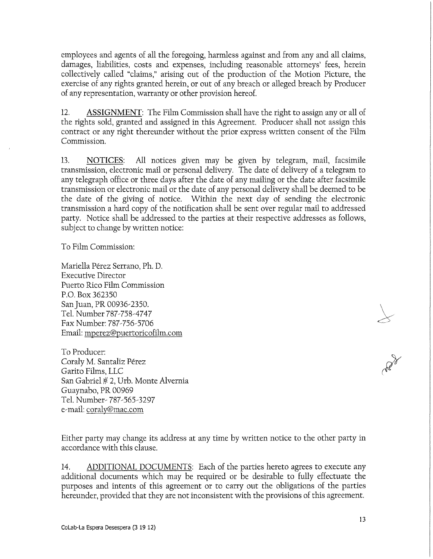employees and agents of all the foregoing, harmless against and from any and all claims, damages, liabilities, costs and expenses, including reasonable attorneys' fees, herein collectively called "claims," arising out of the production of the Motion Picture, the exercise of any ríghts granted herein, or out of any breach or alleged breach by Producer of any representatíon, warranty or other provisión hereof.

12. ASSIGNMENT: The Film Commission shall have the right to assign any or all of the rights sold, granted and assigned in this Agreement. Producer shall not assign this contract or any right thereunder without the prior express written consent of the Film Commission.

13. NOTICES: All notices given may be given by telegram, mail, facsimile transmíssion, electroníc mail or personal delivery. The date of delivery of a telegram to any telegraph office or three days after the date of any mailing or the date after facsímile transmíssion or electroníc mail or the date of any personal delivery shall be deemed to be the date of the giving of notice. Within the next day of sending the electronic transmíssion a hard copy of the notification shall be sent over regular mail to addressed party. Notice shall be addressed to the parties at their respective addresses as follows, subject to change by written notice:

To Film Commission:

Maríella Pérez Serrano, Ph. D. Executive Director Puerto Rico Film Commission P.O. Box 362350 San Juan, PR 00936-2350. Tel. Number 787-758-4747 Fax Number: 787-756-5706 Email: mperez@puertoricofilm.com

To Producer: Coraly M. Santaliz Pérez Garito Films, LLC San Gabriel # 2, Urb. Monte Alvernia Guaynabo, PR 00969 Tel. Number- 787-565-3297 e-maíl: coraly@mac.com

Either party may change its address at any time by written notice to the other party ín accordance with this clause.

14. ADDITIONAL DOCUMENTS: Each of the parties hereto agrees to execute any additional documents whích may be required or be desirable to fully effectuate the purposes and intents of thís agreement or to carry out the obligations of the partíes hereunder, provided that they are not inconsistent with the provisions of this agreement.

Address of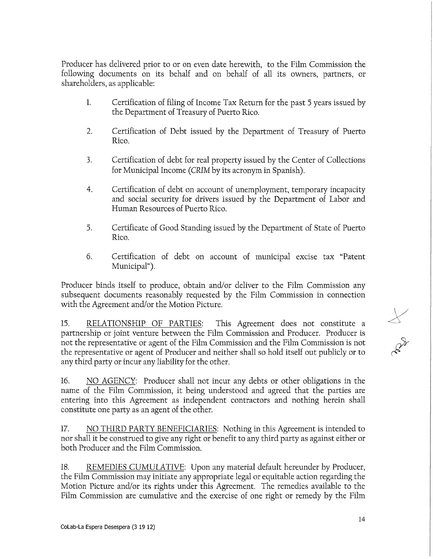Producer has delivered prior to or on even date herewith, to the Film Commission the followíng documents on its behalf and on behalf of all its owners, partners, or shareholders, as applicable:

- 1. Certífication of filíng of Income Tax Return for the past 5 years issued by the Department of Treasury of Puerto Rico.
- 2. Certífication of Debt issued by the Department of Treasury of Puerto Rico.
- 3. Certífication of debt for real property issued by the Center of Collections for Municipal Income (CRIM by its acronym in Spanish).
- 4. Certífication of debt on account of unemployment, temporary incapacity and social security for drivers issued by the Department of Labor and Human Resources of Puerto Rico.
- 5. Certifícate of Good Standing issued by the Department of State of Puerto Rico.
- 6. Certífication of debt on account of municipal excíse tax "Patent Municipal").

Producer binds itself to produce, obtain and/or deliver to the Film Commission any subsequent documents reasonably requested by the Film Commission in connection with the Agreement and/or the Motion Picture.

15. RELATIONSHIP OF PARTIES: This Agreement does not constítute a partnership or joint venture between the Film Commission and Producer. Producer is not the representative or agent of the Film Commission and the Füm Commission is not the representative or agent of Producer and neither shall so hold itself out publicly or to any third party or incur any líabílíty for the other.

16. NO AGENCY: Producer shall not incur any debts or other obligations in the name of the Film Commission, it being understood and agreed that the parties are enteríng into thís Agreement as independent contractors and nothing hereín shall constítute one party as an agent of the other.

17. NO THIRD PARTY BENEFICIARIES: Nothing ín thís Agreement is íntended to nor shall it be construed to give any right or benefit to any third party as against either or both Producer and the Film Commission.

18. REMEDIES CUMULATIVE: Upon any material default hereunder by Producer, the Film Commission may initíate any appropriate legal or equitable action regarding the Motion Picture and/or its rights under this Agreement. The remedies available to the Film Commission are cumulative and the exercise of one right or remedy by the Film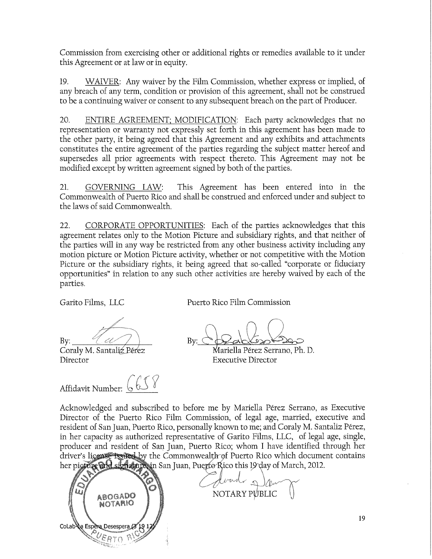Commission from exercising other or additional rights or remedies available to it under this Agreement or at law or in equity.

19. WAIVER: Any waíver by the Film Commission, whether express or implíed, of any breach of any term, condition or provision of this agreement, shall not be construed to be a contínuing waiver or consent to any subsequent breach on the part of Producer.

20. ENTIRE AGREEMENT; MODIFICATION: Each party acknowledges that no representation or warranty not expressly set forth in this agreement has been made to the other party, it being agreed that thís Agreement and any exhíbíts and attachments constítutes the entíre agreement of the partíes regarding the subject matter hereof and supersedes all prior agreements with respect thereto. This Agreement may not be modified except by written agreement signed by both of the parties.

21. GOVERNING LAW: This Agreement has been entered into in the Commonwealth of Puerto Rico and shall be construed and enforced under and subject to the laws of said Commonwealth,

22. CORPORATE OPPORTUNITIES: Each of the parties acknowledges that thís agreement relates only to the Motion Picture and subsídiary rights, and that neither of the partíes will in any way be restricted from any other business actívity including any motion picture or Motion Picture activity, whether or not competitive with the Motion Picture or the subsídiary ríghts, it being agreed that so-called "corporate or fiduciary opportunities" in relation to any such other activities are hereby waived by each of the parties.

Garito Films, LLC Puerto Rico Film Commission

Director Executive Director

Affidavit Number: 6658

 $\bigcap$  $\text{By:}\qquad \frac{1}{\sqrt{2}}\qquad \qquad \text{By:}\ \bigcirc\text{P}_\text{ab}\text{K}_\text{ab}\text{P}_\text{ab}$ Coraly M. Santaliz Pérez **Mariella Pérez Serrano**, Ph. D.

Acknowledged and subscribed to before me by Maríella Pérez Serrano, as Executive Director of the Puerto Rico Film Commission, of legal age, married, executive and resident of San Juan, Puerto Rico, personally known to me; and Coraly M. Santaliz Pérez, in her capacity as authorized representative of Garito Films, LLC, of legal age, single, producer and resídent of San Juan, Puerto Rico; whom I have identifíed through her driver's license issued by the Commonwealth of Puerto Rico which document contains her picture and signature, in San Juan, Puerto Rico this 19 day of March, 2012.



NOTARY PUBLIC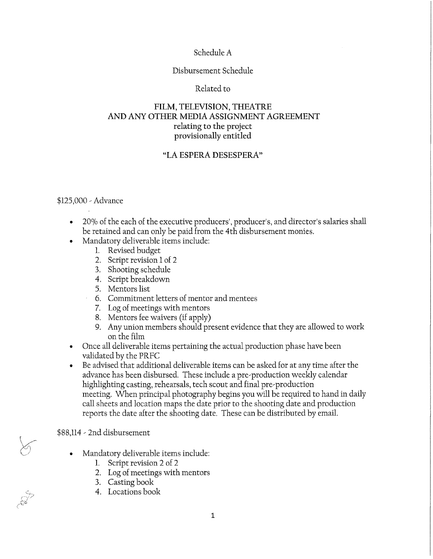# Schedule A

#### Disbursement Schedule

#### Related to

# FILM, TELEVISION, THEATRE AND ANY OTHER MEDIA ASSIGNMENT AGREEMENT relating to the project provisionally entitled

# "LA ESPERA DESESPERA"

#### \$125,000 - Advance

- 20% of the each of the executive producers', producer's, and director's salaries shall be retained and can only be paid from the 4th disbursement monies,
- Mandatory deliverable items include:
	- 1. Revised budget
	- 2. Script revisión 1 of 2
	- 3. Shooting schedule
	- 4. Script breakdown
	- 5. Mentors list
	- 6. Commitment letters of mentor and mentees
	- 7. Log of meetings with mentors
	- 8. Mentors fee waivers (if apply)
	- 9. Any unión members should present evidence that they are allowed to work on the film
- Once all deliverable items pertaining the actual production phase have been validated by the PRFC
- Be advised that additional deliverable items can be asked for at any time after the advance has been disbursed. These include a pre-productíon weekly calendar híghlighting castíng, rehearsals, tech scout and final pre-production meeting. When principal photography begins you will be required to hand ín daily cali sheets and location maps the date prior to the shooting date and production reports the date after the shooting date. These can be distributed by email.

#### \$88,114 - 2nd disbursement

- Mandatory deliverable items include:
	- 1. Script revisión 2 of 2
	- 2. Log of meetings with mentors
	- 3. Casting book
	- 4. Locatíons book

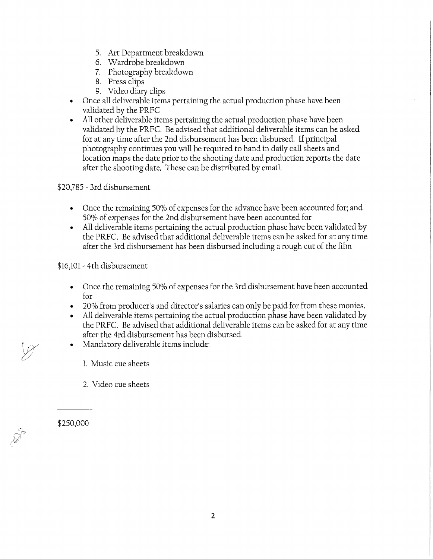- 5. Art Department breakdown
- 6. Wardrobe breakdown
- 7. Photography breakdown
- 8. Press clips
- 9. Video diary clips
- Once all deliverable ítems pertaining the actual production phase have been validated by the PRFC
- All other deliverable ítems pertaining the actual production phase have been validated by the PRFC. Be advised that additional deliverable items can be asked for at any time after the 2nd disbursement has been disbursed. If principal photography continues you will be required to hand in daily call sheets and location maps the date prior to the shooting date and production reports the date after the shooting date. These can be distributed by email.

\$20,785 - 3rd disbursement

- Once the remainíng 50% of expenses for the advance have been accounted for; and 50% of expenses for the 2nd disbursement have been accounted for
- All deliverable items pertaining the actual production phase have been valídated by the PRFC. Be advised that additional deliverable ítems can be asked for at any time after the 3rd disbursement has been disbursed including a rough cut of the film

\$16,101 - 4th disbursement

- Once the remaíning 50% of expenses for the 3rd disbursement have been accounted for
- 20% from producer's and director's salaries can only be paid for from these monies.
- All deliverable ítems pertaining the actual production phase have been valídated by the PRFC. Be advised that additional deliverable items can be asked for at any time after the 4rd disbursement has been disbursed.
- Mandatory deliverable ítems include:
	- 1. Music cue sheets
	- 2. Video cue sheets

\$250,000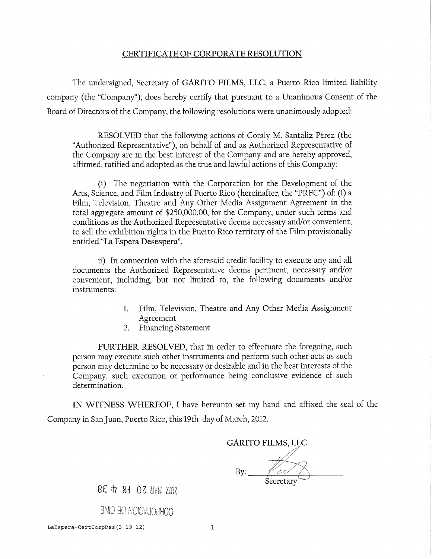#### CERTIFICATE OF CORPORATE RESOLUTION

The undersigned, Secretary of GARITO FILMS, LLC, a Puerto Rico limited líability company (the "Company"), does hereby certify that pursuant to a Unanimous Consent of the Board of Directors of the Company, the following resolutions were unanimously adopted:

RESOLVED that the following actions of Coraly M. Santaliz Pérez (the "Authorized Representative"), on behalf of and as Authorized Representative of the Company are ín the best interest of the Company and are hereby approved, affirmed, ratifíed and adopted as the true and lawful actíons of this Company:

(i) The negotiation with the Corporation for the Development of the Arts, Science, and Film Industry of Puerto Rico (hereinafter, the "PRFC") of: (i) a Film, Television, Theatre and Any Other Media Assignment Agreement in the total aggregate amount of \$250,000.00, for the Company, under such terms and conditíons as the Authorized Representative deems necessary and/or convenient, to sell the exhibition rights in the Puerto Rico territory of the Film provisionally entitled "La Espera Desespera".

ii) In connection with the aforesaid credit facility to execute any and all documents the Authorized Representative deems pertinent, necessary and/or convenient, including, but not limited to, the following documents and/or instruments:

- 1. Film, Television, Theatre and Any Other Media Assignment Agreement
- 2. Financíng Statement

FURTHER RESOLVED, that in order to effectuate the foregoing, such person may execute such other instruments and perform such other acts as such person may determine to be necessary or desirable and in the best interests of the Company, such execution or performance being conclusive evidence of such determínation,

IN WITNESS WHEREOF, I have hereunto set my hand and affixed the seal of the Company ín San Juan, Puerto Rico, thís 19th day of March, 2012.

GARITO FILMS, LLC

By:. Secretary

8 E <sup>i</sup> Md 02 8WW ZHOZ

**3ND 30** NOlOVljOdHOO

**LaEspera-CertCorpRes( 3 19 12) 1**